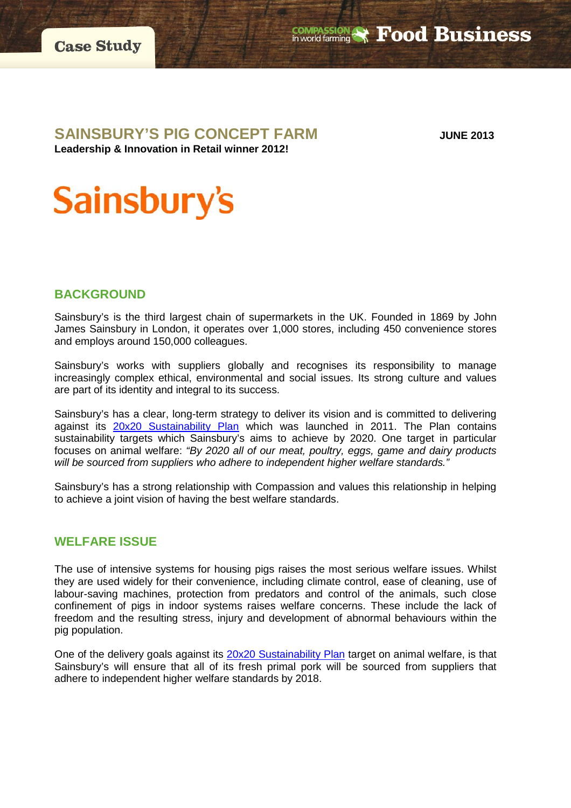

## **SAINSBURY'S PIG CONCEPT FARM JUNE <sup>2013</sup>**

**COMPASSION & Food Business** 

**Leadership & Innovation in Retail winner 2012!**

# **Sainsbury's**

## **BACKGROUND**

Sainsbury's is the third largest chain of supermarkets in the UK. Founded in 1869 by John James Sainsbury in London, it operates over 1,000 stores, including 450 convenience stores and employs around 150,000 colleagues.

Sainsbury's works with suppliers globally and recognises its responsibility to manage increasingly complex ethical, environmental and social issues. Its strong culture and values are part of its identity and integral to its success.

Sainsbury's has a clear, long-term strategy to deliver its vision and is committed to delivering against its **[20x20 Sustainability Plan](http://www.j-sainsbury.co.uk/responsibility/20x20/)** which was launched in 2011. The Plan contains sustainability targets which Sainsbury's aims to achieve by 2020. One target in particular focuses on animal welfare: *"By 2020 all of our meat, poultry, eggs, game and dairy products will be sourced from suppliers who adhere to independent higher welfare standards."*

Sainsbury's has a strong relationship with Compassion and values this relationship in helping to achieve a joint vision of having the best welfare standards.

## **WELFARE ISSUE**

The use of intensive systems for housing pigs raises the most serious welfare issues. Whilst they are used widely for their convenience, including climate control, ease of cleaning, use of labour-saving machines, protection from predators and control of the animals, such close confinement of pigs in indoor systems raises welfare concerns. These include the lack of freedom and the resulting stress, injury and development of abnormal behaviours within the pig population.

One of the delivery goals against its [20x20 Sustainability Plan](http://www.j-sainsbury.co.uk/responsibility/20x20/) target on animal welfare, is that Sainsbury's will ensure that all of its fresh primal pork will be sourced from suppliers that adhere to independent higher welfare standards by 2018.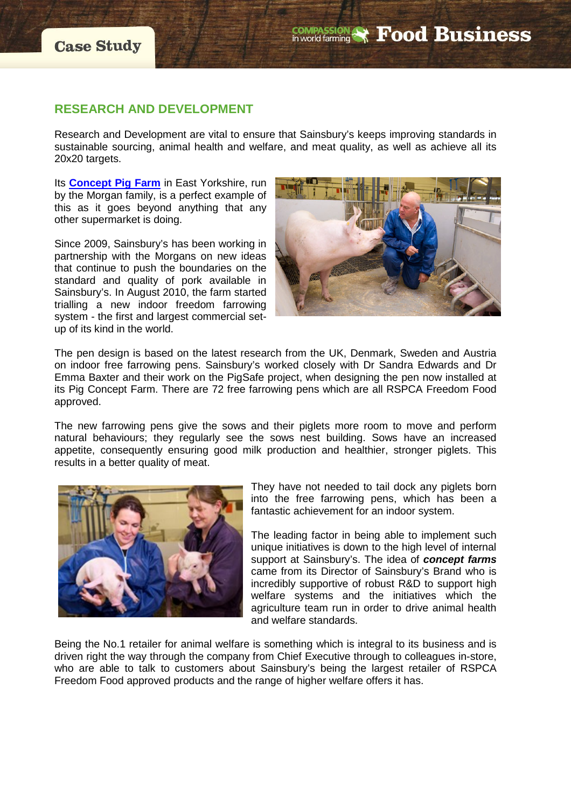## **RESEARCH AND DEVELOPMENT**

Research and Development are vital to ensure that Sainsbury's keeps improving standards in sustainable sourcing, animal health and welfare, and meat quality, as well as achieve all its 20x20 targets.

Its **[Concept Pig Farm](http://www.j-sainsbury.co.uk/blog/2011/10/visiting-our-concept-farm-in-east-yorkshire/)** in East Yorkshire, run by the Morgan family, is a perfect example of this as it goes beyond anything that any other supermarket is doing.

Since 2009, Sainsbury's has been working in partnership with the Morgans on new ideas that continue to push the boundaries on the standard and quality of pork available in Sainsbury's. In August 2010, the farm started trialling a new indoor freedom farrowing system - the first and largest commercial setup of its kind in the world.



The pen design is based on the latest research from the UK, Denmark, Sweden and Austria on indoor free farrowing pens. Sainsbury's worked closely with Dr Sandra Edwards and Dr Emma Baxter and their work on the PigSafe project, when designing the pen now installed at its Pig Concept Farm. There are 72 free farrowing pens which are all RSPCA Freedom Food approved.

The new farrowing pens give the sows and their piglets more room to move and perform natural behaviours; they regularly see the sows nest building. Sows have an increased appetite, consequently ensuring good milk production and healthier, stronger piglets. This results in a better quality of meat.



They have not needed to tail dock any piglets born into the free farrowing pens, which has been a fantastic achievement for an indoor system.

The leading factor in being able to implement such unique initiatives is down to the high level of internal support at Sainsbury's. The idea of *concept farms* came from its Director of Sainsbury's Brand who is incredibly supportive of robust R&D to support high welfare systems and the initiatives which the agriculture team run in order to drive animal health and welfare standards.

Being the No.1 retailer for animal welfare is something which is integral to its business and is driven right the way through the company from Chief Executive through to colleagues in-store, who are able to talk to customers about Sainsbury's being the largest retailer of RSPCA Freedom Food approved products and the range of higher welfare offers it has.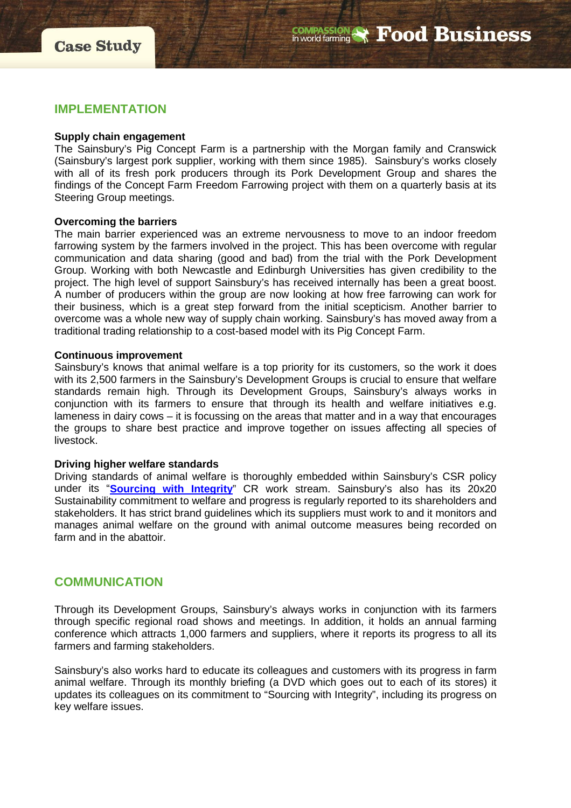

### **IMPLEMENTATION**

#### **Supply chain engagement**

The Sainsbury's Pig Concept Farm is a partnership with the Morgan family and Cranswick (Sainsbury's largest pork supplier, working with them since 1985). Sainsbury's works closely with all of its fresh pork producers through its Pork Development Group and shares the findings of the Concept Farm Freedom Farrowing project with them on a quarterly basis at its Steering Group meetings.

#### **Overcoming the barriers**

The main barrier experienced was an extreme nervousness to move to an indoor freedom farrowing system by the farmers involved in the project. This has been overcome with regular communication and data sharing (good and bad) from the trial with the Pork Development Group. Working with both Newcastle and Edinburgh Universities has given credibility to the project. The high level of support Sainsbury's has received internally has been a great boost. A number of producers within the group are now looking at how free farrowing can work for their business, which is a great step forward from the initial scepticism. Another barrier to overcome was a whole new way of supply chain working. Sainsbury's has moved away from a traditional trading relationship to a cost-based model with its Pig Concept Farm.

#### **Continuous improvement**

Sainsbury's knows that animal welfare is a top priority for its customers, so the work it does with its 2,500 farmers in the Sainsbury's Development Groups is crucial to ensure that welfare standards remain high. Through its Development Groups, Sainsbury's always works in conjunction with its farmers to ensure that through its health and welfare initiatives e.g. lameness in dairy cows – it is focussing on the areas that matter and in a way that encourages the groups to share best practice and improve together on issues affecting all species of livestock.

#### **Driving higher welfare standards**

Driving standards of animal welfare is thoroughly embedded within Sainsbury's CSR policy under its "**[Sourcing with Integrity](http://www.j-sainsbury.co.uk/responsibility/our-values/sourcing-with-integrity/)**" CR work stream. Sainsbury's also has its 20x20 Sustainability commitment to welfare and progress is regularly reported to its shareholders and stakeholders. It has strict brand guidelines which its suppliers must work to and it monitors and manages animal welfare on the ground with animal outcome measures being recorded on farm and in the abattoir.

#### **COMMUNICATION**

Through its Development Groups, Sainsbury's always works in conjunction with its farmers through specific regional road shows and meetings. In addition, it holds an annual farming conference which attracts 1,000 farmers and suppliers, where it reports its progress to all its farmers and farming stakeholders.

Sainsbury's also works hard to educate its colleagues and customers with its progress in farm animal welfare. Through its monthly briefing (a DVD which goes out to each of its stores) it updates its colleagues on its commitment to "Sourcing with Integrity", including its progress on key welfare issues.